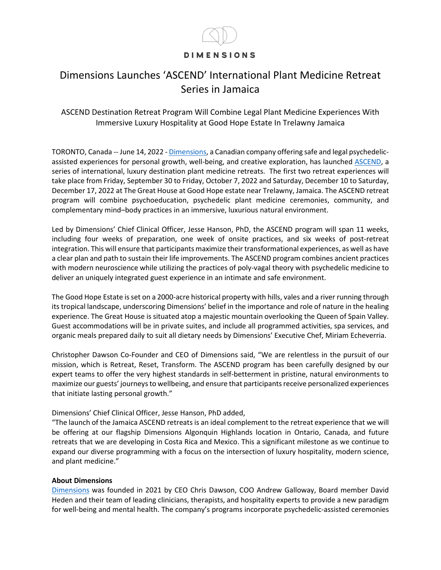## **DIMENSIONS**

## Dimensions Launches 'ASCEND' International Plant Medicine Retreat Series in Jamaica

ASCEND Destination Retreat Program Will Combine Legal Plant Medicine Experiences With Immersive Luxury Hospitality at Good Hope Estate In Trelawny Jamaica

TORONTO, Canada -- June 14, 2022 - [Dimensions,](https://dimensionsretreats.com/) a Canadian company offering safe and legal psychedelicassisted experiences for personal growth, well-being, and creative exploration, has launched [ASCEND,](https://dimensionsretreats.com/dimensions-retreats-jamaica/) a series of international, luxury destination plant medicine retreats. The first two retreat experiences will take place from Friday, September 30 to Friday, October 7, 2022 and Saturday, December 10 to Saturday, December 17, 2022 at The Great House at Good Hope estate near Trelawny, Jamaica. The ASCEND retreat program will combine psychoeducation, psychedelic plant medicine ceremonies, community, and complementary mind–body practices in an immersive, luxurious natural environment.

Led by Dimensions' Chief Clinical Officer, Jesse Hanson, PhD, the ASCEND program will span 11 weeks, including four weeks of preparation, one week of onsite practices, and six weeks of post-retreat integration. This will ensure that participants maximize their transformational experiences, as well as have a clear plan and path to sustain their life improvements. The ASCEND program combines ancient practices with modern neuroscience while utilizing the practices of poly-vagal theory with psychedelic medicine to deliver an uniquely integrated guest experience in an intimate and safe environment.

The Good Hope Estate is set on a 2000-acre historical property with hills, vales and a river running through its tropical landscape, underscoring Dimensions' belief in the importance and role of nature in the healing experience. The Great House is situated atop a majestic mountain overlooking the Queen of Spain Valley. Guest accommodations will be in private suites, and include all programmed activities, spa services, and organic meals prepared daily to suit all dietary needs by Dimensions' Executive Chef, Miriam Echeverria.

Christopher Dawson Co-Founder and CEO of Dimensions said, "We are relentless in the pursuit of our mission, which is Retreat, Reset, Transform. The ASCEND program has been carefully designed by our expert teams to offer the very highest standards in self-betterment in pristine, natural environments to maximize our guests' journeys to wellbeing, and ensure that participants receive personalized experiences that initiate lasting personal growth."

Dimensions' Chief Clinical Officer, Jesse Hanson, PhD added,

"The launch of the Jamaica ASCEND retreats is an ideal complement to the retreat experience that we will be offering at our flagship Dimensions Algonquin Highlands location in Ontario, Canada, and future retreats that we are developing in Costa Rica and Mexico. This a significant milestone as we continue to expand our diverse programming with a focus on the intersection of luxury hospitality, modern science, and plant medicine."

## **About Dimensions**

[Dimensions](https://dimensionsretreats.com/) was founded in 2021 by CEO Chris Dawson, COO Andrew Galloway, Board member David Heden and their team of leading clinicians, therapists, and hospitality experts to provide a new paradigm for well-being and mental health. The company's programs incorporate psychedelic-assisted ceremonies